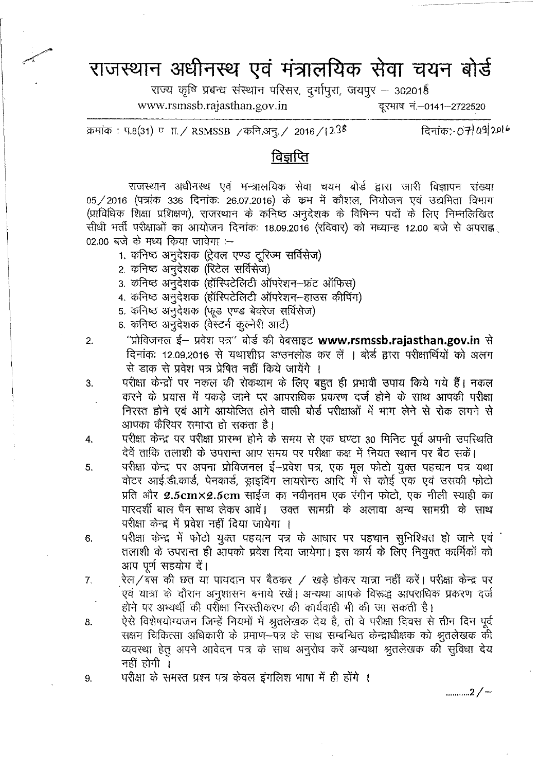## राजस्थान अधीनस्थ एवं मंत्रालयिक सेवा चयन बोर्<del>ड</del>

राज्य कृषि प्रबन्ध संस्थान परिसर, दुर्गापुरा, जयपुर - 302018

[www.rsmssb.rajasthan.gov.in](http://www.rsmssb.rajasthan.gov.in) <a>
<a>
<a>
<a>
T</a>
<a>
T</a>
<a>
T</a>
<a>
T</a>
T</a>
T</a>
T</a>
T</a>
T</a>
T</a>
T</a>
T</a>
T</a>
T</a>
T</a>
T</a>
T</a>
T</a>
T</a>
T</a>
T</a>
T</a>
T</a>
T</a>
T</a>
T</a>
T</a>
T</

क्रमांक: प.8(31) ण T. / RSMSSB / कनि.अनु. / 2016 / 1238 - विनांक: 07 04 09 20 6

## विज्ञप्ति

राजस्थान अधीनस्थ एवं मन्त्रालयिक सेवा चयन बोर्ड द्वारा जारी विज्ञापन संख्या  $05/2016$  (पत्रांक 336 दिनांक: 26.07.2016) के कम में कौशल, नियोजन एवं उद्यमिता विभाग (प्राविधिक शिक्षा प्रशिक्षण), राजस्थान के कनिष्ठ अनुदेशक के विभिन्न पदों के लिए निम्नलिखित सीधी भर्ती परीक्षाओं का आयोजन दिनांक: 18.09.2016 (रविवार) को मध्यान्ह 12.00 बजे से अपराह्व  $02.00$  बजे के मध्य किया जावेगा :-

- 1. कनिष्ठ अनुदेशक (ट्रेवल एण्ड टूरिज्म सर्विसेज)
- 2. कनिष्ठ अनुदेशक (रिटेल सर्विसेज)
- 3. कनिष्ठ अनुदेशक (हॉस्पिटेलिटी ऑपरेशन-फ्रंट ऑफिस)
- 4. कनिष्ठ अनुदेशक (हॉस्पिटेलिटी ऑपरेशन-हाउस कीपिंग)
- 5. कनिष्ठ अनुदेशक (फूड एण्ड बेवरेज सर्विसेज)
- 6. कनिष्ठ अनुदेशक (वेस्टर्न कुल्नेरी आर्ट)
- 2. "अविजनल ई- प्रवेश पत्र" बोर्ड की वेबसाइट [www.rsmssb.rajasthan.gov.in](http://www.rsmssb.rajasthan.gov.in) से दिनांकः 12.09.2016 से यथाशीघ्र डाउनलोड कर लें । बोर्ड द्वारा परीक्षार्थियों को अलग से डाक से प्रवेश पत्र प्रेषित नहीं किये जायेंगे ।
- 3. यरीक्षा केन्द्रों पर नकल की रोकथाम के लिए बहुत ही प्रभावी उपाय किये गये हैं। नकल करने के प्रयास में पकड़े जाने पर आपराधिक प्रकरण दर्ज होने के साथ आपकी परीक्षा निरस्त होने एवं आगे आयोजित होने वाली बोर्ड परीक्षाओं में भाग लेने से रोक लगने से आपका कैरियर समाप्त हो सकता है।
- 4. . . परीक्षा केन्द्र पर परीक्षा प्रारम्भ होने के समय से एक घण्टा 30 मिनिट पूर्व अपनी उपस्थिति देवें ताकि तलाशी के उपरान्त आप समय पर परीक्षा कक्ष में नियत स्थान पर बैठ सकें।
- 5. परीक्षा केन्द्र पर अपना प्रोविजनल ई-प्रवेश पत्र, एक मूल फोटो युक्त पहचान पत्र यथा वोटर आई.डी.कार्ड, पेनकार्ड, ड्राइविंग लायसेन्स आदि में से कोई एक एवं उसकी फोटो प्रति और  $2.5 \text{cm} \times 2.5 \text{cm}$  साईज का नवीनतम एक रंगीन फोटो, एक नीली स्याही का पारदर्शी बाल पैन साथ लेकर आवें। उक्त सामग्री के अलावा अन्य सामग्री के साथ परीक्षा केन्द्र में प्रवेश नहीं दिया जायेगा ।
- 6. परीक्षा केन्द्र में फोटो युक्त पहचान पत्र के आधार पर पहचान सुनिश्चित हो जाने एवं तलाशी के उपरान्त ही आपको प्रवेश दिया जायेगा। इस कार्य के लिए नियुक्त कार्मिकों को आप पूर्ण सहयोग दें।
- *7.* रेल/बस की छत या पायदान पर बैठकर / खड़े होकर यात्रा नहीं करें। परीक्षा केन्द्र पर एवं यात्रा के दौरान अनुशासन बनाये रखें। अन्यथा आपके विरूद्ध आपराधिक प्रकरण दर्ज होने पर अभ्यर्थी की परीक्षा निरस्तीकरण की कार्यवाही भी की जा सकती है।
- 8. لَا لَا الله المعلم الله وَالله الله وَالله وَالله عليه وَالله عليه وَالله وَالله وَالله عليه وَا राक्षम चिकित्सा अधिकारी के प्रमाण-पत्र के साथ सम्बन्धित केन्द्राधीक्षक को श्रुतलेखक की व्यवस्था हेतू अपने आवेदन पत्र के साथ अनुरोध करें अन्यथा श्रुतलेखक की सुविधा देय नहीं होगी $\perp$
- 9. परीक्षा के समस्त प्रश्न पत्र केवल इंगलिश भाषा में ही होंगे ।

........... 2/-